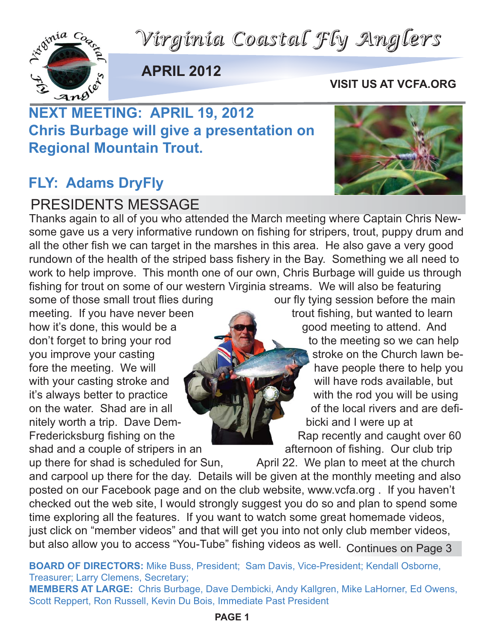



**APRIL 2012**

#### **VISIT US AT VCFA.ORG**

### **NEXT MEETING: APRIL 19, 2012 Chris Burbage will give a presentation on Regional Mountain Trout.**

#### **FLY: Adams DryFly**

#### PRESIDENTS MESSAGE

Thanks again to all of you who attended the March meeting where Captain Chris Newsome gave us a very informative rundown on fishing for stripers, trout, puppy drum and all the other fish we can target in the marshes in this area. He also gave a very good rundown of the health of the striped bass fishery in the Bay. Something we all need to work to help improve. This month one of our own, Chris Burbage will guide us through fishing for trout on some of our western Virginia streams. We will also be featuring

some of those small trout flies during our fly tying session before the main meeting. If you have never been trout fishing, but wanted to learn how it's done, this would be a good meeting to attend. And don't forget to bring your rod to the meeting so we can help with your casting stroke and will have rods available, but it's always better to practice with the rod you will be using nitely worth a trip. Dave Dem- bicki and I were up at shad and a couple of stripers in an and afternoon of fishing. Our club trip

you improve your casting stroke on the Church lawn before the meeting. We will have people there to help you on the water. Shad are in all  $\Box$  of the local rivers and are defi-Fredericksburg fishing on the Rap recently and caught over 60

up there for shad is scheduled for Sun, April 22. We plan to meet at the church and carpool up there for the day. Details will be given at the monthly meeting and also posted on our Facebook page and on the club website, www.vcfa.org . If you haven't checked out the web site, I would strongly suggest you do so and plan to spend some time exploring all the features. If you want to watch some great homemade videos, just click on "member videos" and that will get you into not only club member videos, but also allow you to access "You-Tube" fishing videos as well. Continues on Page 3

**BOARD OF DIRECTORS:** Mike Buss, President; Sam Davis, Vice-President; Kendall Osborne, Treasurer; Larry Clemens, Secretary;

**MEMBERS AT LARGE:** Chris Burbage, Dave Dembicki, Andy Kallgren, Mike LaHorner, Ed Owens, Scott Reppert, Ron Russell, Kevin Du Bois, Immediate Past President

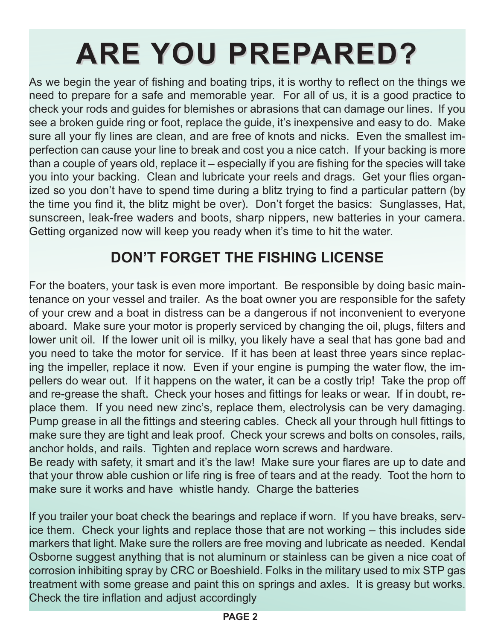# **ARE YOU PREPARED? ARE YOU PREPARED?**

As we begin the year of fishing and boating trips, it is worthy to reflect on the things we need to prepare for a safe and memorable year. For all of us, it is a good practice to check your rods and guides for blemishes or abrasions that can damage our lines. If you see a broken guide ring or foot, replace the guide, it's inexpensive and easy to do. Make sure all your fly lines are clean, and are free of knots and nicks. Even the smallest imperfection can cause your line to break and cost you a nice catch. If your backing is more than a couple of years old, replace it – especially if you are fishing for the species will take you into your backing. Clean and lubricate your reels and drags. Get your flies organized so you don't have to spend time during a blitz trying to find a particular pattern (by the time you find it, the blitz might be over). Don't forget the basics: Sunglasses, Hat, sunscreen, leak-free waders and boots, sharp nippers, new batteries in your camera. Getting organized now will keep you ready when it's time to hit the water.

#### **DON'T FORGET THE FISHING LICENSE**

For the boaters, your task is even more important. Be responsible by doing basic maintenance on your vessel and trailer. As the boat owner you are responsible for the safety of your crew and a boat in distress can be a dangerous if not inconvenient to everyone aboard. Make sure your motor is properly serviced by changing the oil, plugs, filters and lower unit oil. If the lower unit oil is milky, you likely have a seal that has gone bad and you need to take the motor for service. If it has been at least three years since replacing the impeller, replace it now. Even if your engine is pumping the water flow, the impellers do wear out. If it happens on the water, it can be a costly trip! Take the prop off and re-grease the shaft. Check your hoses and fittings for leaks or wear. If in doubt, replace them. If you need new zinc's, replace them, electrolysis can be very damaging. Pump grease in all the fittings and steering cables. Check all your through hull fittings to make sure they are tight and leak proof. Check your screws and bolts on consoles, rails, anchor holds, and rails. Tighten and replace worn screws and hardware.

Be ready with safety, it smart and it's the law! Make sure your flares are up to date and that your throw able cushion or life ring is free of tears and at the ready. Toot the horn to make sure it works and have whistle handy. Charge the batteries

If you trailer your boat check the bearings and replace if worn. If you have breaks, service them. Check your lights and replace those that are not working – this includes side markers that light. Make sure the rollers are free moving and lubricate as needed. Kendal Osborne suggest anything that is not aluminum or stainless can be given a nice coat of corrosion inhibiting spray by CRC or Boeshield. Folks in the military used to mix STP gas treatment with some grease and paint this on springs and axles. It is greasy but works. Check the tire inflation and adjust accordingly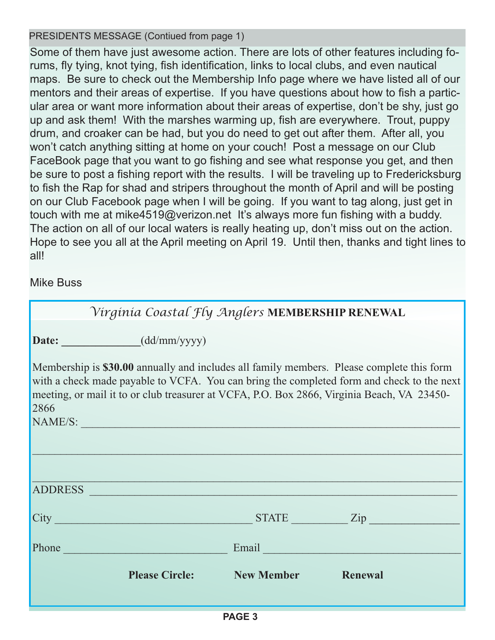PRESIDENTS MESSAGE (Contiued from page 1)

Some of them have just awesome action. There are lots of other features including forums, fly tying, knot tying, fish identification, links to local clubs, and even nautical maps. Be sure to check out the Membership Info page where we have listed all of our mentors and their areas of expertise. If you have questions about how to fish a particular area or want more information about their areas of expertise, don't be shy, just go up and ask them! With the marshes warming up, fish are everywhere. Trout, puppy drum, and croaker can be had, but you do need to get out after them. After all, you won't catch anything sitting at home on your couch! Post a message on our Club FaceBook page that you want to go fishing and see what response you get, and then be sure to post a fishing report with the results. I will be traveling up to Fredericksburg to fish the Rap for shad and stripers throughout the month of April and will be posting on our Club Facebook page when I will be going. If you want to tag along, just get in touch with me at mike4519@verizon.net It's always more fun fishing with a buddy. The action on all of our local waters is really heating up, don't miss out on the action. Hope to see you all at the April meeting on April 19. Until then, thanks and tight lines to all!

Mike Buss

| Virginia Coastal Fly Anglers MEMBERSHIP RENEWAL                                                                                                                                                                                                                                              |                   |                  |
|----------------------------------------------------------------------------------------------------------------------------------------------------------------------------------------------------------------------------------------------------------------------------------------------|-------------------|------------------|
| Date: ______________(dd/mm/yyyy)                                                                                                                                                                                                                                                             |                   |                  |
| Membership is \$30.00 annually and includes all family members. Please complete this form<br>with a check made payable to VCFA. You can bring the completed form and check to the next<br>meeting, or mail it to or club treasurer at VCFA, P.O. Box 2866, Virginia Beach, VA 23450-<br>2866 |                   |                  |
| NAME/S:                                                                                                                                                                                                                                                                                      |                   |                  |
|                                                                                                                                                                                                                                                                                              |                   |                  |
|                                                                                                                                                                                                                                                                                              |                   |                  |
| ADDRESS ADDRESS                                                                                                                                                                                                                                                                              |                   |                  |
|                                                                                                                                                                                                                                                                                              |                   | STATE <u>Zip</u> |
| Phone Manuscripture and the state of the state of the state of the state of the state of the state of the state of the state of the state of the state of the state of the state of the state of the state of the state of the                                                               | Email et al. 2010 |                  |
| <b>Please Circle:</b> New Member Renewal                                                                                                                                                                                                                                                     |                   |                  |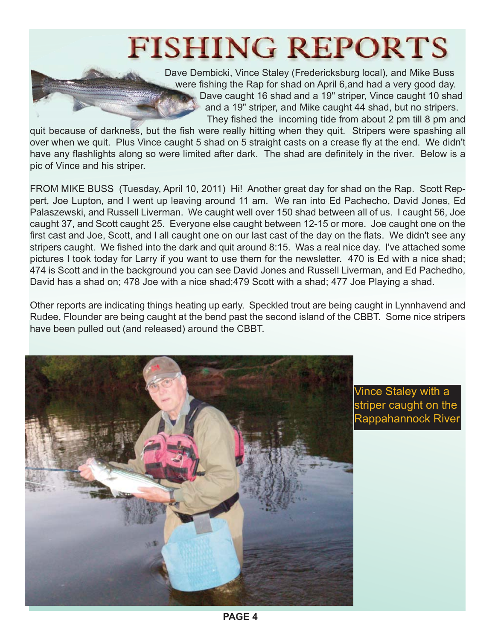## **FISHING REPORTS**

Dave Dembicki, Vince Staley (Fredericksburg local), and Mike Buss were fishing the Rap for shad on April 6,and had a very good day. Dave caught 16 shad and a 19" striper, Vince caught 10 shad and a 19" striper, and Mike caught 44 shad, but no stripers. They fished the incoming tide from about 2 pm till 8 pm and

quit because of darkness, but the fish were really hitting when they quit. Stripers were spashing all over when we quit. Plus Vince caught 5 shad on 5 straight casts on a crease fly at the end. We didn't have any flashlights along so were limited after dark. The shad are definitely in the river. Below is a pic of Vince and his striper.

FROM MIKE BUSS (Tuesday, April 10, 2011) Hi! Another great day for shad on the Rap. Scott Reppert, Joe Lupton, and I went up leaving around 11 am. We ran into Ed Pachecho, David Jones, Ed Palaszewski, and Russell Liverman. We caught well over 150 shad between all of us. I caught 56, Joe caught 37, and Scott caught 25. Everyone else caught between 12-15 or more. Joe caught one on the first cast and Joe, Scott, and I all caught one on our last cast of the day on the flats. We didn't see any stripers caught. We fished into the dark and quit around 8:15. Was a real nice day. I've attached some pictures I took today for Larry if you want to use them for the newsletter. 470 is Ed with a nice shad; 474 is Scott and in the background you can see David Jones and Russell Liverman, and Ed Pachedho, David has a shad on; 478 Joe with a nice shad;479 Scott with a shad; 477 Joe Playing a shad.

Other reports are indicating things heating up early. Speckled trout are being caught in Lynnhavend and Rudee, Flounder are being caught at the bend past the second island of the CBBT. Some nice stripers have been pulled out (and released) around the CBBT.



Vince Staley with a striper caught on the Rappahannock River